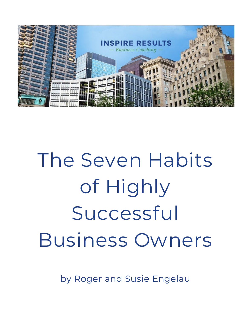

# The Seven Habits of Highly Successful Business Owners

by Roger and Susie Engelau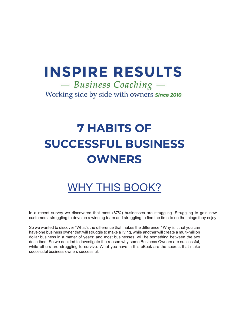# **INSPIRE RESULTS**

- Business Coaching -Working side by side with owners since 2010

# **7 HABITS OF SUCCESSFUL BUSINESS OWNERS**

## WHY THIS BOOK?

In a recent survey we discovered that most (87%) businesses are struggling. Struggling to gain new customers, struggling to develop a winning team and struggling to find the time to do the things they enjoy.

So we wanted to discover "What's the difference that makes the difference." Why is it that you can have one business owner that will struggle to make a living, while another will create a multi-million dollar business in a matter of years; and most businesses, will be something between the two described. So we decided to investigate the reason why some Business Owners are successful, while others are struggling to survive. What you have in this eBook are the secrets that make successful business owners successful.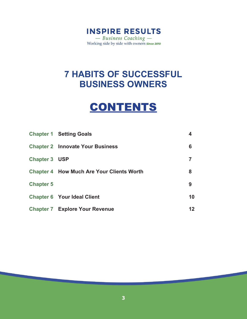

### **CONTENTS**

|                      | <b>Chapter 1 Setting Goals</b>                   | 4  |
|----------------------|--------------------------------------------------|----|
|                      | <b>Chapter 2 Innovate Your Business</b>          | 6  |
| <b>Chapter 3 USP</b> |                                                  |    |
|                      | <b>Chapter 4 How Much Are Your Clients Worth</b> | 8  |
| <b>Chapter 5</b>     |                                                  | 9  |
|                      | <b>Chapter 6 Your Ideal Client</b>               | 10 |
|                      | <b>Chapter 7 Explore Your Revenue</b>            | 12 |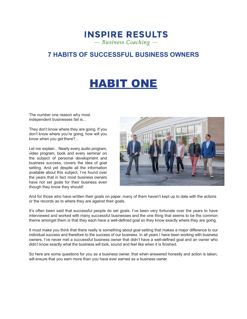### **INSPIRE RESULTS**  $-$  Business Coaching  $-$

### **7 HABITS OF SUCCESSFUL BUSINESS OWNERS**

## HABIT ONE

The number one reason why most independent businesses fail is...

They don't know where they are going. If you don't know where you're going, how will you know when you get there?...

Let me explain... Nearly every audio program, video program, book and every seminar on the subject of personal development and business success, covers the idea of goal setting. And yet despite all the information available about this subject, I've found over the years that in fact most business owners have not set goals for their business even though they know they should!



And for those who have written their goals on paper, many of them haven't kept up to date with the actions or the records as to where they are against their goals.

It's often been said that successful people do set goals. I've been very fortunate over the years to have interviewed and worked with many successful businesses and the one thing that seems to be the common theme amongst them is that they each have a well-defined goal so they know exactly where they are going.

It must make you think that there really is something about goal setting that makes a major difference to our individual success and therefore to the success of our business. In all years I have been working with business owners, I've never met a successful business owner that didn't have a well-defined goal and an owner who didn't know exactly what the business will look, sound and feel like when it is finished.

So here are some questions for you as a business owner, that when answered honestly and action is taken, will ensure that you earn more than you have ever earned as a business owner.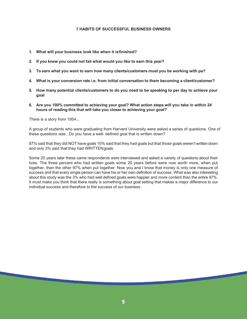- **1. What will your business look like when it isfinished?**
- **2. If you knew you could not fail what would you like to earn this year?**
- **3. To earn what you want to earn how many clients/customers must you be working with pa?**
- **4. What is your conversion rate i.e. from initial conversation to them becoming a client/customer?**
- **5. How many potential clients/customers to do you need to be speaking to per day to achieve your goal**
- **6. Are you 100% committed to achieving your goal? What action steps will you take in within 24 hours of reading this that will take you closer to achieving your goal?**

There is a story from 1954...

A group of students who were graduating from Harvard University were asked a series of questions. One of these questions was...Do you have a well- defined goal that is written down?

87% said that they did NOT have goals 10% said that they had goals but that those goals weren't written down and only 3% said that they had WRITTENgoals.

Some 20 years later these same respondents were interviewed and asked a variety of questions about their lives. The three percent who had written goals some 20 years before were now worth more, when put together, than the other 97% when put together. Now you and I know that money is only one measure of success and that every single person can have his or her own definition of success. What was also interesting about this study was the 3% who had well defined goals were happier and more content than the entire 97%. It must make you think that there really is something about goal setting that makes a major difference to our individual success and therefore to the success of our business.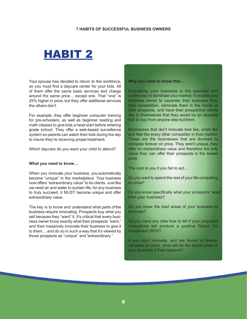### HABIT 2

Your spouse has decided to return to the workforce, so you must find a daycare center for your kids. All of them offer the same basic services and charge around the same price… except one. That "one" is 25% higher in price, but they offer additional services the others don't.

For example, they offer beginner computer training for pre-schoolers, as well as beginner reading and math classes to give kids a head start before entering grade school. They offer a web-based surveillance system so parents can watch their kids during the day to insure they're receiving propertreatment.

Which daycare do you want your child to attend?

#### **What you need to know…**

When you innovate your business, you automatically become "unique" in the marketplace. Your business now offers "extraordinary value" to its clients. Just like we need air and water to sustain life, for any business to truly succeed, it MUST become unique and offer extraordinary value.

The key is to know and understand what parts of the business require innovating. Prospects buy what you sell because they "want" it. It's critical that every business owner know exactly what their prospects "want," and then massively innovate their business to give it to them… and do so in such a way that it's viewed by those prospects as "unique" and"extraordinary."

**Why you need to know this…**

Innovating your business is the quickest and surest way to dominate your market. It enables any business owner to separate their business from their competition, eliminate them in the minds of their prospects, and have their prospective clients say to themselves that they would be an absolute fool to buy from anyone else butthem.

Businesses that don't innovate look like, smell like and feel like every other competitor in their market. These are the businesses that are doomed to compete forever on price. They aren't unique, they offer no extraordinary value and therefore the only value they can offer their prospects is the lowest price.

The cost to you if you fail to act…

Do you want to spend the rest of your life competing on price?

Do you know specifically what your prospects "want" from your business?

Do you know the best areas of your business to innovate?

Do you have any idea how to tell if your proposed innovations will produce a positive Return On Investment (ROI)?

If you don't innovate, and are forced to forever compete on price, what will be the future costs to your business if that happens?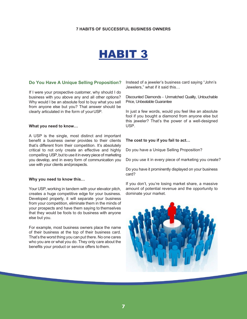### HABIT 3

#### **Do You Have A Unique Selling Proposition?**

If I were your prospective customer, why should I do business with you above any and all other options? Why would I be an absolute fool to buy what you sell from anyone else but you? That answer should be clearly articulated in the form of yourUSP.

#### **What you need to know…**

A USP is the single, most distinct and important benefit a business owner provides to their clients that's different from their competition. It's absolutely critical to not only create an effective and highly compelling USP, but to use it in every piece of marketing you develop, and in every form of communication you use with your clients andprospects.

#### **Why you need to know this…**

Your USP, working in tandem with your elevator pitch, creates a huge competitive edge for your business. Developed properly, it will separate your business from your competition, eliminate them in the minds of your prospects and have them saying to themselves that they would be fools to do business with anyone else but you.

For example, most business owners place the name of their business at the top of their business card. That's the worst thing you can put there. No one cares who you are or what you do. They only care about the benefits your product or service offers tothem.

Instead of a jeweler's business card saying "John's Jewelers," what if it said this…

Discounted Diamonds - Unmatched Quality, Untouchable Price, Unbeatable Guarantee

In just a few words, would you feel like an absolute fool if you bought a diamond from anyone else but this jeweler? That's the power of a well-designed USP.

#### **The cost to you if you fail to act…**

Do you have a Unique Selling Proposition?

Do you use it in every piece of marketing you create?

Do you have it prominently displayed on your business card?

If you don't, you're losing market share, a massive amount of potential revenue and the opportunity to dominate your market.

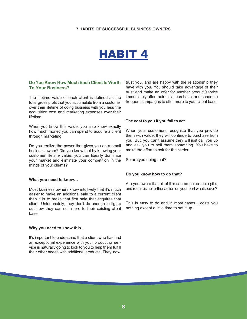### HABIT 4

#### **Do You Know How Much Each Client Is Worth To Your Business?**

The lifetime value of each client is defined as the total gross profit that you accumulate from a customer over their lifetime of doing business with you less the acquisition cost and marketing expenses over their lifetime.

When you know this value, you also know exactly how much money you can spend to acquire a client through marketing.

Do you realize the power that gives you as a small business owner? Did you know that by knowing your customer lifetime value, you can literally dominate your market and eliminate your competition in the minds of your clients?

#### **What you need to know…**

Most business owners know intuitively that it's much easier to make an additional sale to a current client than it is to make that first sale that acquires that client. Unfortunately, they don't do enough to figure out how they can sell more to their existing client base.

#### **Why you need to know this…**

It's important to understand that a client who has had an exceptional experience with your product or service is naturally going to look to you to help them fulfill their other needs with additional products. They now

trust you, and are happy with the relationship they have with you. You should take advantage of their trust and make an offer for another product/service immediately after their initial purchase, and schedule frequent campaigns to offer more to your client base.

#### **The cost to you if you fail to act…**

When your customers recognize that you provide them with value, they will continue to purchase from you. But, you can't assume they will just call you up and ask you to sell them something. You have to make the effort to ask for their order.

So are you doing that?

#### **Do you know how to do that?**

Are you aware that all of this can be put on auto-pilot, and requires no further action on your part whatsoever?

This is easy to do and in most cases... costs you nothing except a little time to set it up.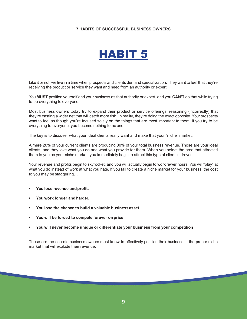### HABIT 5

Like it or not, we live in a time when prospects and clients demand specialization. They want to feel that they're receiving the product or service they want and need from an authority or expert.

You **MUST** position yourself and your business as that authority or expert, and you **CAN'T** do that while trying to be everything to everyone.

Most business owners today try to expand their product or service offerings, reasoning (incorrectly) that they're casting a wider net that will catch more fish. In reality, they're doing the exact opposite. Your prospects want to feel as though you're focused solely on the things that are most important to them. If you try to be everything to everyone, you become nothing to no one.

The key is to discover what your ideal clients really want and make that your "niche" market.

A mere 20% of your current clients are producing 80% of your total business revenue. Those are your ideal clients, and they love what you do and what you provide for them. When you select the area that attracted them to you as your niche market, you immediately begin to attract this type of client in droves.

Your revenue and profits begin to skyrocket, and you will actually begin to work fewer hours. You will "play" at what you do instead of work at what you hate. If you fail to create a niche market for your business, the cost to you may be staggering…

- You lose revenue and profit.
- **You work longer and harder.**
- **You lose the chance to build a valuable businessasset.**
- **You will be forced to compete forever onprice**
- **You will never become unique or differentiate your business from your competition**

These are the secrets business owners must know to effectively position their business in the proper niche market that will explode their revenue.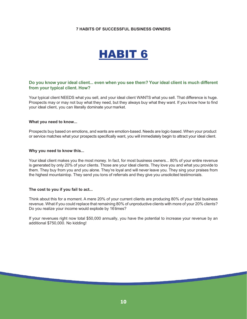### HABIT 6

#### **Do you know your ideal client... even when you see them? Your ideal client is much different from your typical client. How?**

Your typical client NEEDS what you sell, and your ideal client WANTS what you sell. That difference is huge. Prospects may or may not buy what they need, but they always buy what they want. If you know how to find your ideal client, you can literally dominate your market.

#### **What you need to know...**

Prospects buy based on emotions, and wants are emotion-based. Needs are logic-based. When your product or service matches what your prospects specifically want, you will immediately begin to attract your ideal client.

#### **Why you need to know this...**

Your ideal client makes you the most money. In fact, for most business owners... 80% of your entire revenue is generated by only 20% of your clients. Those are your ideal clients. They love you and what you provide to them. They buy from you and you alone. They're loyal and will never leave you. They sing your praises from the highest mountaintop. They send you tons of referrals and they give you unsolicited testimonials.

#### **The cost to you if you fail to act...**

Think about this for a moment. A mere 20% of your current clients are producing 80% of your total business revenue. What if you could replace that remaining 80% of unproductive clients with more of your 20% clients? Do you realize your income would explode by 16times?

If your revenues right now total \$50,000 annually, you have the potential to increase your revenue by an additional \$750,000. No kidding!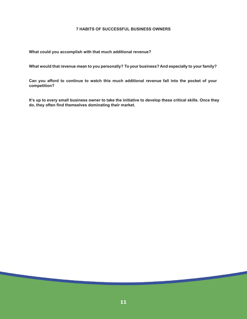**What could you accomplish with that much additional revenue?**

**What would that revenue mean to you personally? To your business? And especially to your family?**

**Can you afford to continue to watch this much additional revenue fall into the pocket of your competition?**

**It's up to every small business owner to take the initiative to develop these critical skills. Once they do, they often find themselves dominating their market.**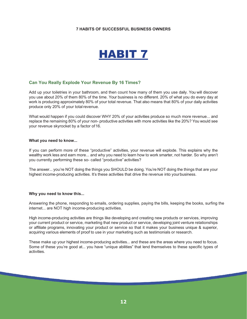### HABIT 7

#### **Can You Really Explode Your Revenue By 16 Times?**

Add up your toiletries in your bathroom, and then count how many of them you use daily. You will discover you use about 20% of them 80% of the time. Your business is no different. 20% of what you do every day at work is producing approximately 80% of your total revenue. That also means that 80% of your daily activities produce only 20% of your total revenue.

What would happen if you could discover WHY 20% of your activities produce so much more revenue... and replace the remaining 80% of your non- productive activities with more activities like the 20%? You would see your revenue skyrocket by a factor of 16.

#### **What you need to know...**

If you can perform more of these "productive" activities, your revenue will explode. This explains why the wealthy work less and earn more... and why you need to learn how to work smarter, not harder. So why aren't you currently performing these so- called "productive"activities?

The answer... you're NOT doing the things you SHOULD be doing. You're NOT doing the things that are your highest income-producing activities. It's these activities that drive the revenue into yourbusiness.

#### **Why you need to know this...**

Answering the phone, responding to emails, ordering supplies, paying the bills, keeping the books, surfing the internet... are NOT high income-producing activities.

High income-producing activities are things like developing and creating new products or services, improving your current product or service, marketing that new product or service, developing joint venture relationships or affiliate programs, innovating your product or service so that it makes your business unique & superior, acquiring various elements of proof to use in your marketing such as testimonials or research.

These make up your highest income-producing activities... and these are the areas where you need to focus. Some of these you're good at... you have "unique abilities" that lend themselves to these specific types of activities.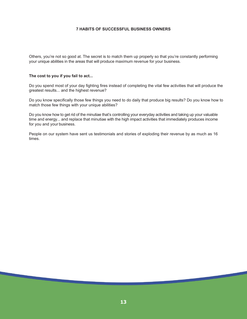Others, you're not so good at. The secret is to match them up properly so that you're constantly performing your unique abilities in the areas that will produce maximum revenue for your business.

#### **The cost to you if you fail to act...**

Do you spend most of your day fighting fires instead of completing the vital few activities that will produce the greatest results... and the highest revenue?

Do you know specifically those few things you need to do daily that produce big results? Do you know how to match those few things with your unique abilities?

Do you know how to get rid of the minutiae that's controlling your everyday activities and taking up your valuable time and energy... and replace that minutiae with the high impact activities that immediately produces income for you and your business.

People on our system have sent us testimonials and stories of exploding their revenue by as much as 16 times.